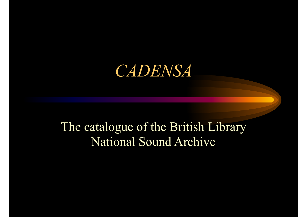#### *CADENSA*

#### The catalogue of the British Library National Sound Archive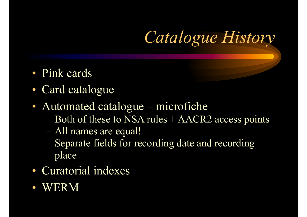*Catalogue History*

- Pink cards
- Card catalogue
- Automated catalogue microfiche
	- Both of these to NSA rules + AACR2 access points
	- All names are equal!
	- Separate fields for recording date and recording place
- Curatorial indexes
- WERM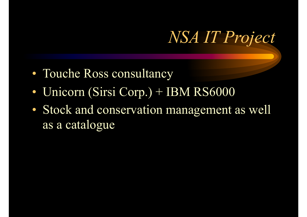## *NSA IT Project*

- Touche Ross consultancy
- Unicorn (Sirsi Corp.) + IBM RS6000
- Stock and conservation management as well as a catalogue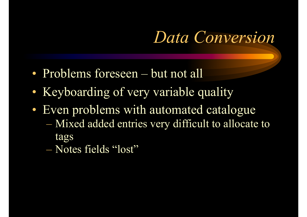## *Data Conversion*

- Problems foreseen but not all
- Keyboarding of very variable quality
- Even problems with automated catalogue
	- Mixed added entries very difficult to allocate to tags
	- Notes fields "lost"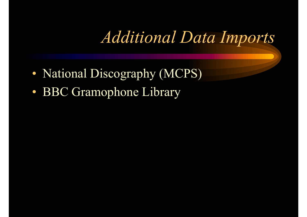### *Additional Data Imports*

- National Discography (MCPS)
- BBC Gramophone Library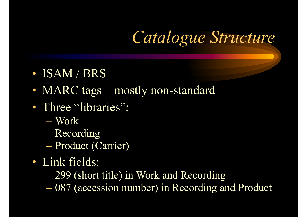# *Catalogue Structure*

- ISAM / BRS
- MARC tags mostly non-standard
- Three "libraries":
	- Work
	- Recording
	- Product (Carrier)
- Link fields:
	- 299 (short title) in Work and Recording
	- 087 (accession number) in Recording and Product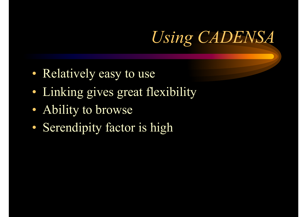# *Using CADENSA*

- Relatively easy to use
- Linking gives great flexibility
- Ability to browse
- Serendipity factor is high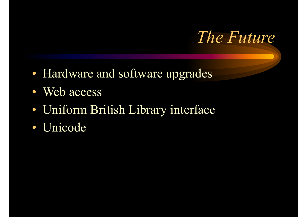

- Hardware and software upgrades
- Web access
- Uniform British Library interface
- Unicode